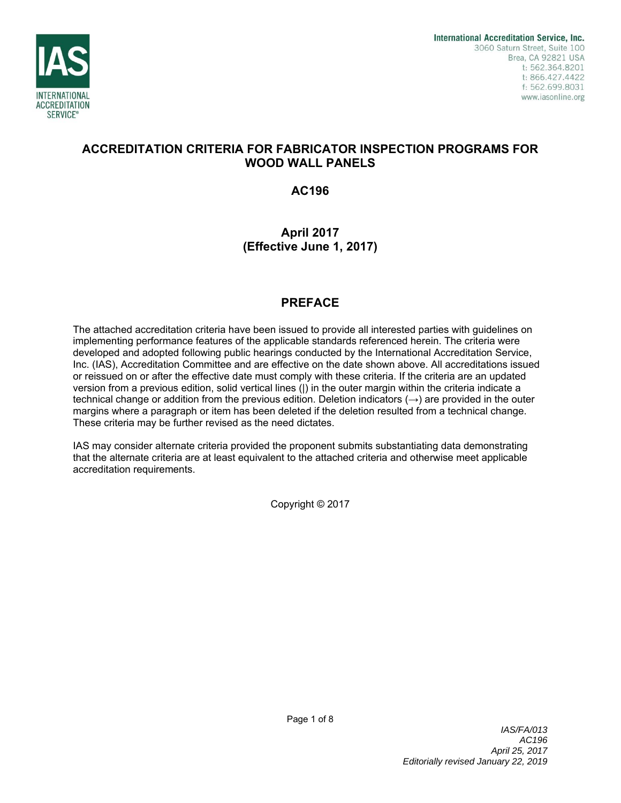

# **ACCREDITATION CRITERIA FOR FABRICATOR INSPECTION PROGRAMS FOR WOOD WALL PANELS**

**AC196** 

# **April 2017 (Effective June 1, 2017)**

# **PREFACE**

The attached accreditation criteria have been issued to provide all interested parties with guidelines on implementing performance features of the applicable standards referenced herein. The criteria were developed and adopted following public hearings conducted by the International Accreditation Service, Inc. (IAS), Accreditation Committee and are effective on the date shown above. All accreditations issued or reissued on or after the effective date must comply with these criteria. If the criteria are an updated version from a previous edition, solid vertical lines (|) in the outer margin within the criteria indicate a technical change or addition from the previous edition. Deletion indicators  $(\rightarrow)$  are provided in the outer margins where a paragraph or item has been deleted if the deletion resulted from a technical change. These criteria may be further revised as the need dictates.

IAS may consider alternate criteria provided the proponent submits substantiating data demonstrating that the alternate criteria are at least equivalent to the attached criteria and otherwise meet applicable accreditation requirements.

Copyright © 2017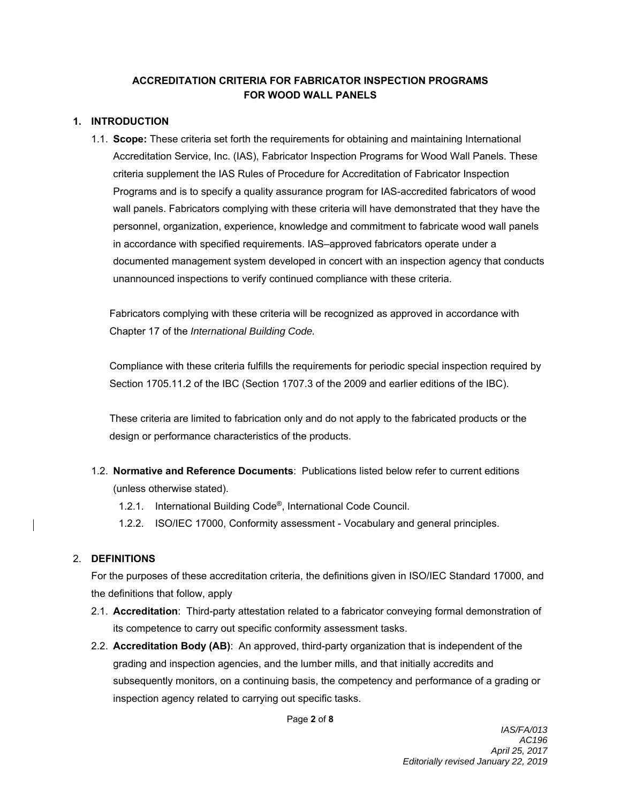### **ACCREDITATION CRITERIA FOR FABRICATOR INSPECTION PROGRAMS FOR WOOD WALL PANELS**

#### **1. INTRODUCTION**

1.1. **Scope:** These criteria set forth the requirements for obtaining and maintaining International Accreditation Service, Inc. (IAS), Fabricator Inspection Programs for Wood Wall Panels. These criteria supplement the IAS Rules of Procedure for Accreditation of Fabricator Inspection Programs and is to specify a quality assurance program for IAS-accredited fabricators of wood wall panels. Fabricators complying with these criteria will have demonstrated that they have the personnel, organization, experience, knowledge and commitment to fabricate wood wall panels in accordance with specified requirements. IAS–approved fabricators operate under a documented management system developed in concert with an inspection agency that conducts unannounced inspections to verify continued compliance with these criteria.

Fabricators complying with these criteria will be recognized as approved in accordance with Chapter 17 of the *International Building Code.* 

Compliance with these criteria fulfills the requirements for periodic special inspection required by Section 1705.11.2 of the IBC (Section 1707.3 of the 2009 and earlier editions of the IBC).

These criteria are limited to fabrication only and do not apply to the fabricated products or the design or performance characteristics of the products.

- 1.2. **Normative and Reference Documents**: Publications listed below refer to current editions (unless otherwise stated).
	- 1.2.1. International Building Code®, International Code Council.
	- 1.2.2. ISO/IEC 17000, Conformity assessment Vocabulary and general principles.

### 2. **DEFINITIONS**

For the purposes of these accreditation criteria, the definitions given in ISO/IEC Standard 17000, and the definitions that follow, apply

- 2.1. **Accreditation**: Third-party attestation related to a fabricator conveying formal demonstration of its competence to carry out specific conformity assessment tasks.
- 2.2. **Accreditation Body (AB)**: An approved, third-party organization that is independent of the grading and inspection agencies, and the lumber mills, and that initially accredits and subsequently monitors, on a continuing basis, the competency and performance of a grading or inspection agency related to carrying out specific tasks.

Page **2** of **8**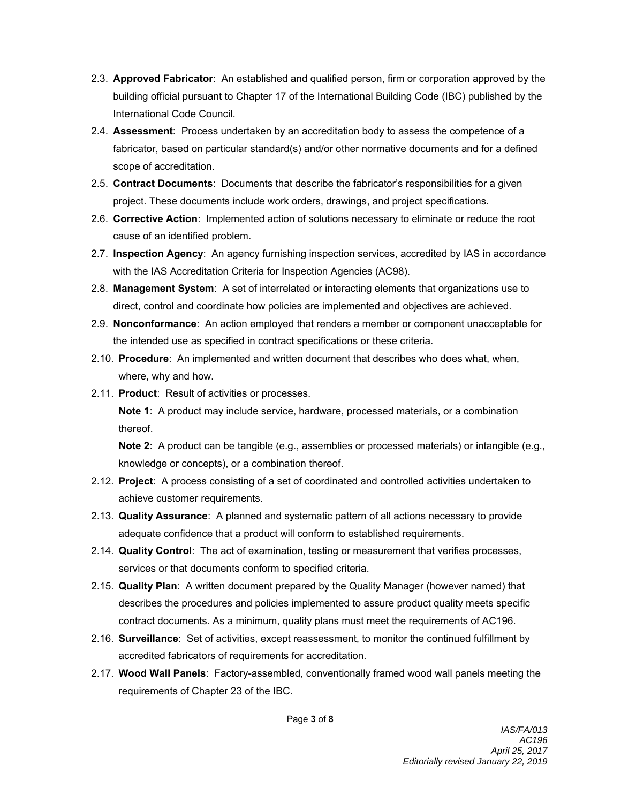- 2.3. **Approved Fabricator**: An established and qualified person, firm or corporation approved by the building official pursuant to Chapter 17 of the International Building Code (IBC) published by the International Code Council.
- 2.4. **Assessment**: Process undertaken by an accreditation body to assess the competence of a fabricator, based on particular standard(s) and/or other normative documents and for a defined scope of accreditation.
- 2.5. **Contract Documents**: Documents that describe the fabricator's responsibilities for a given project. These documents include work orders, drawings, and project specifications.
- 2.6. **Corrective Action**: Implemented action of solutions necessary to eliminate or reduce the root cause of an identified problem.
- 2.7. **Inspection Agency**: An agency furnishing inspection services, accredited by IAS in accordance with the IAS Accreditation Criteria for Inspection Agencies (AC98).
- 2.8. **Management System**: A set of interrelated or interacting elements that organizations use to direct, control and coordinate how policies are implemented and objectives are achieved.
- 2.9. **Nonconformance**: An action employed that renders a member or component unacceptable for the intended use as specified in contract specifications or these criteria.
- 2.10. **Procedure**: An implemented and written document that describes who does what, when, where, why and how.
- 2.11. **Product**: Result of activities or processes.

**Note 1**: A product may include service, hardware, processed materials, or a combination thereof.

**Note 2**: A product can be tangible (e.g., assemblies or processed materials) or intangible (e.g., knowledge or concepts), or a combination thereof.

- 2.12. **Project**: A process consisting of a set of coordinated and controlled activities undertaken to achieve customer requirements.
- 2.13. **Quality Assurance**: A planned and systematic pattern of all actions necessary to provide adequate confidence that a product will conform to established requirements.
- 2.14. **Quality Control**: The act of examination, testing or measurement that verifies processes, services or that documents conform to specified criteria.
- 2.15. **Quality Plan**: A written document prepared by the Quality Manager (however named) that describes the procedures and policies implemented to assure product quality meets specific contract documents. As a minimum, quality plans must meet the requirements of AC196.
- 2.16. **Surveillance**: Set of activities, except reassessment, to monitor the continued fulfillment by accredited fabricators of requirements for accreditation.
- 2.17. **Wood Wall Panels**: Factory-assembled, conventionally framed wood wall panels meeting the requirements of Chapter 23 of the IBC.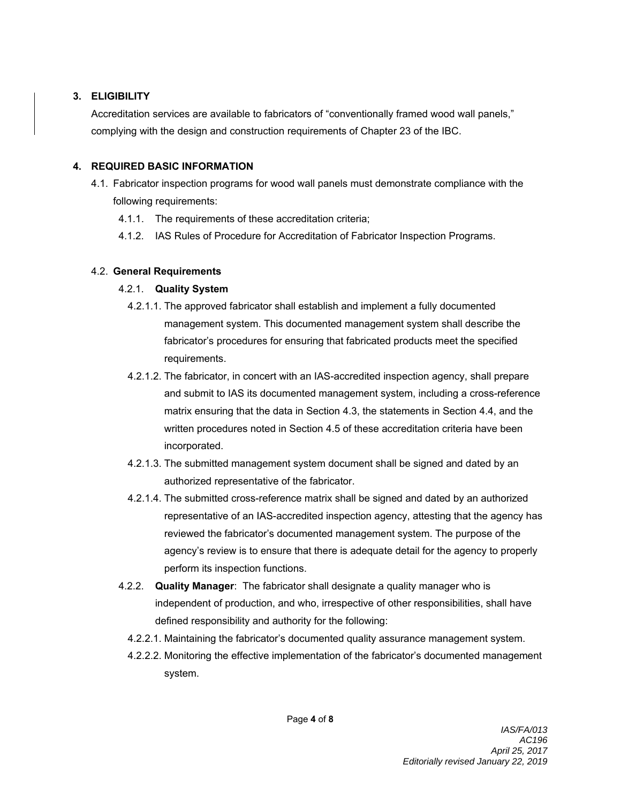### **3. ELIGIBILITY**

Accreditation services are available to fabricators of "conventionally framed wood wall panels," complying with the design and construction requirements of Chapter 23 of the IBC.

### **4. REQUIRED BASIC INFORMATION**

- 4.1. Fabricator inspection programs for wood wall panels must demonstrate compliance with the following requirements:
	- 4.1.1. The requirements of these accreditation criteria;
	- 4.1.2. IAS Rules of Procedure for Accreditation of Fabricator Inspection Programs.

## 4.2. **General Requirements**

# 4.2.1. **Quality System**

- 4.2.1.1. The approved fabricator shall establish and implement a fully documented management system. This documented management system shall describe the fabricator's procedures for ensuring that fabricated products meet the specified requirements.
- 4.2.1.2. The fabricator, in concert with an IAS-accredited inspection agency, shall prepare and submit to IAS its documented management system, including a cross-reference matrix ensuring that the data in Section 4.3, the statements in Section 4.4, and the written procedures noted in Section 4.5 of these accreditation criteria have been incorporated.
- 4.2.1.3. The submitted management system document shall be signed and dated by an authorized representative of the fabricator.
- 4.2.1.4. The submitted cross-reference matrix shall be signed and dated by an authorized representative of an IAS-accredited inspection agency, attesting that the agency has reviewed the fabricator's documented management system. The purpose of the agency's review is to ensure that there is adequate detail for the agency to properly perform its inspection functions.
- 4.2.2. **Quality Manager**: The fabricator shall designate a quality manager who is independent of production, and who, irrespective of other responsibilities, shall have defined responsibility and authority for the following:
	- 4.2.2.1. Maintaining the fabricator's documented quality assurance management system.
	- 4.2.2.2. Monitoring the effective implementation of the fabricator's documented management system.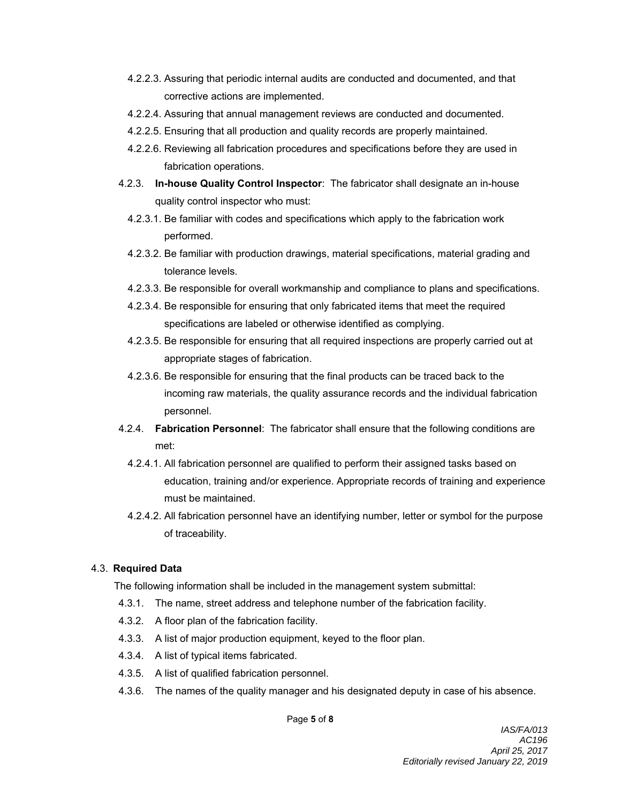- 4.2.2.3. Assuring that periodic internal audits are conducted and documented, and that corrective actions are implemented.
- 4.2.2.4. Assuring that annual management reviews are conducted and documented.
- 4.2.2.5. Ensuring that all production and quality records are properly maintained.
- 4.2.2.6. Reviewing all fabrication procedures and specifications before they are used in fabrication operations.
- 4.2.3. **In-house Quality Control Inspector**: The fabricator shall designate an in-house quality control inspector who must:
	- 4.2.3.1. Be familiar with codes and specifications which apply to the fabrication work performed.
	- 4.2.3.2. Be familiar with production drawings, material specifications, material grading and tolerance levels.
	- 4.2.3.3. Be responsible for overall workmanship and compliance to plans and specifications.
	- 4.2.3.4. Be responsible for ensuring that only fabricated items that meet the required specifications are labeled or otherwise identified as complying.
	- 4.2.3.5. Be responsible for ensuring that all required inspections are properly carried out at appropriate stages of fabrication.
	- 4.2.3.6. Be responsible for ensuring that the final products can be traced back to the incoming raw materials, the quality assurance records and the individual fabrication personnel.
- 4.2.4. **Fabrication Personnel**: The fabricator shall ensure that the following conditions are met:
	- 4.2.4.1. All fabrication personnel are qualified to perform their assigned tasks based on education, training and/or experience. Appropriate records of training and experience must be maintained.
	- 4.2.4.2. All fabrication personnel have an identifying number, letter or symbol for the purpose of traceability.

## 4.3. **Required Data**

The following information shall be included in the management system submittal:

- 4.3.1. The name, street address and telephone number of the fabrication facility.
- 4.3.2. A floor plan of the fabrication facility.
- 4.3.3. A list of major production equipment, keyed to the floor plan.
- 4.3.4. A list of typical items fabricated.
- 4.3.5. A list of qualified fabrication personnel.
- 4.3.6. The names of the quality manager and his designated deputy in case of his absence.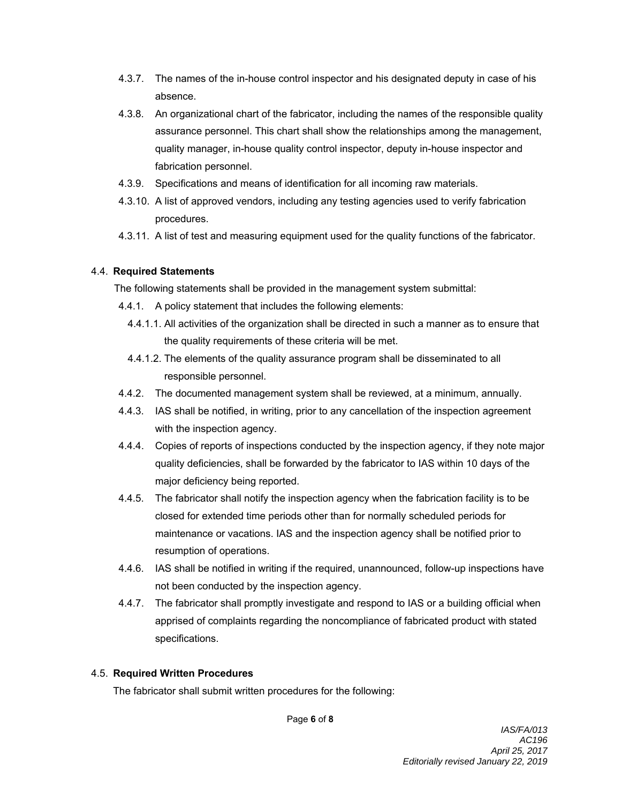- 4.3.7. The names of the in-house control inspector and his designated deputy in case of his absence.
- 4.3.8. An organizational chart of the fabricator, including the names of the responsible quality assurance personnel. This chart shall show the relationships among the management, quality manager, in-house quality control inspector, deputy in-house inspector and fabrication personnel.
- 4.3.9. Specifications and means of identification for all incoming raw materials.
- 4.3.10. A list of approved vendors, including any testing agencies used to verify fabrication procedures.
- 4.3.11. A list of test and measuring equipment used for the quality functions of the fabricator.

### 4.4. **Required Statements**

The following statements shall be provided in the management system submittal:

- 4.4.1. A policy statement that includes the following elements:
	- 4.4.1.1. All activities of the organization shall be directed in such a manner as to ensure that the quality requirements of these criteria will be met.
	- 4.4.1.2. The elements of the quality assurance program shall be disseminated to all responsible personnel.
- 4.4.2. The documented management system shall be reviewed, at a minimum, annually.
- 4.4.3. IAS shall be notified, in writing, prior to any cancellation of the inspection agreement with the inspection agency.
- 4.4.4. Copies of reports of inspections conducted by the inspection agency, if they note major quality deficiencies, shall be forwarded by the fabricator to IAS within 10 days of the major deficiency being reported.
- 4.4.5. The fabricator shall notify the inspection agency when the fabrication facility is to be closed for extended time periods other than for normally scheduled periods for maintenance or vacations. IAS and the inspection agency shall be notified prior to resumption of operations.
- 4.4.6. IAS shall be notified in writing if the required, unannounced, follow-up inspections have not been conducted by the inspection agency.
- 4.4.7. The fabricator shall promptly investigate and respond to IAS or a building official when apprised of complaints regarding the noncompliance of fabricated product with stated specifications.

### 4.5. **Required Written Procedures**

The fabricator shall submit written procedures for the following:

Page **6** of **8**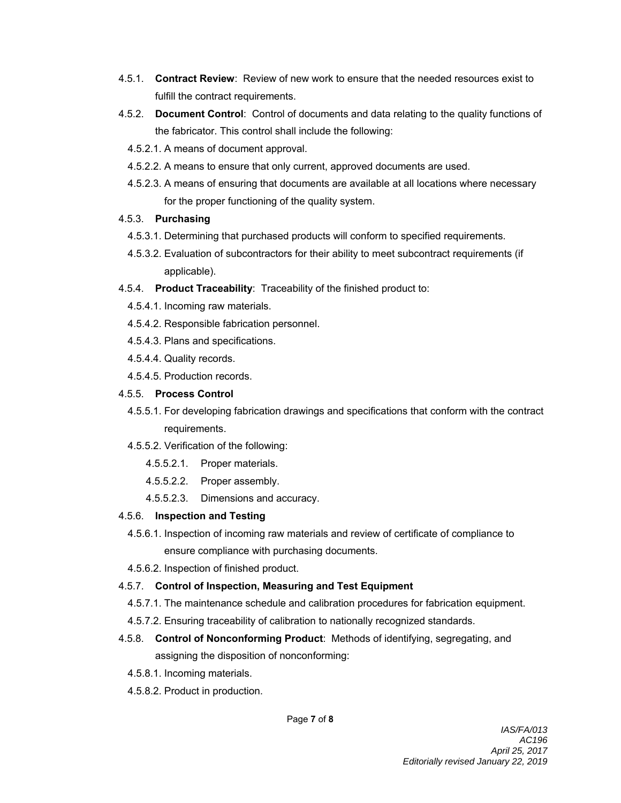- 4.5.1. **Contract Review**: Review of new work to ensure that the needed resources exist to fulfill the contract requirements.
- 4.5.2. **Document Control**: Control of documents and data relating to the quality functions of the fabricator. This control shall include the following:
	- 4.5.2.1. A means of document approval.
	- 4.5.2.2. A means to ensure that only current, approved documents are used.
	- 4.5.2.3. A means of ensuring that documents are available at all locations where necessary for the proper functioning of the quality system.

#### 4.5.3. **Purchasing**

- 4.5.3.1. Determining that purchased products will conform to specified requirements.
- 4.5.3.2. Evaluation of subcontractors for their ability to meet subcontract requirements (if applicable).
- 4.5.4. **Product Traceability**: Traceability of the finished product to:
	- 4.5.4.1. Incoming raw materials.
	- 4.5.4.2. Responsible fabrication personnel.
	- 4.5.4.3. Plans and specifications.
	- 4.5.4.4. Quality records.
	- 4.5.4.5. Production records.

#### 4.5.5. **Process Control**

- 4.5.5.1. For developing fabrication drawings and specifications that conform with the contract requirements.
- 4.5.5.2. Verification of the following:
	- 4.5.5.2.1. Proper materials.
	- 4.5.5.2.2. Proper assembly.
	- 4.5.5.2.3. Dimensions and accuracy.

### 4.5.6. **Inspection and Testing**

- 4.5.6.1. Inspection of incoming raw materials and review of certificate of compliance to ensure compliance with purchasing documents.
- 4.5.6.2. Inspection of finished product.

#### 4.5.7. **Control of Inspection, Measuring and Test Equipment**

- 4.5.7.1. The maintenance schedule and calibration procedures for fabrication equipment.
- 4.5.7.2. Ensuring traceability of calibration to nationally recognized standards.
- 4.5.8. **Control of Nonconforming Product**: Methods of identifying, segregating, and assigning the disposition of nonconforming:
	- 4.5.8.1. Incoming materials.
	- 4.5.8.2. Product in production.